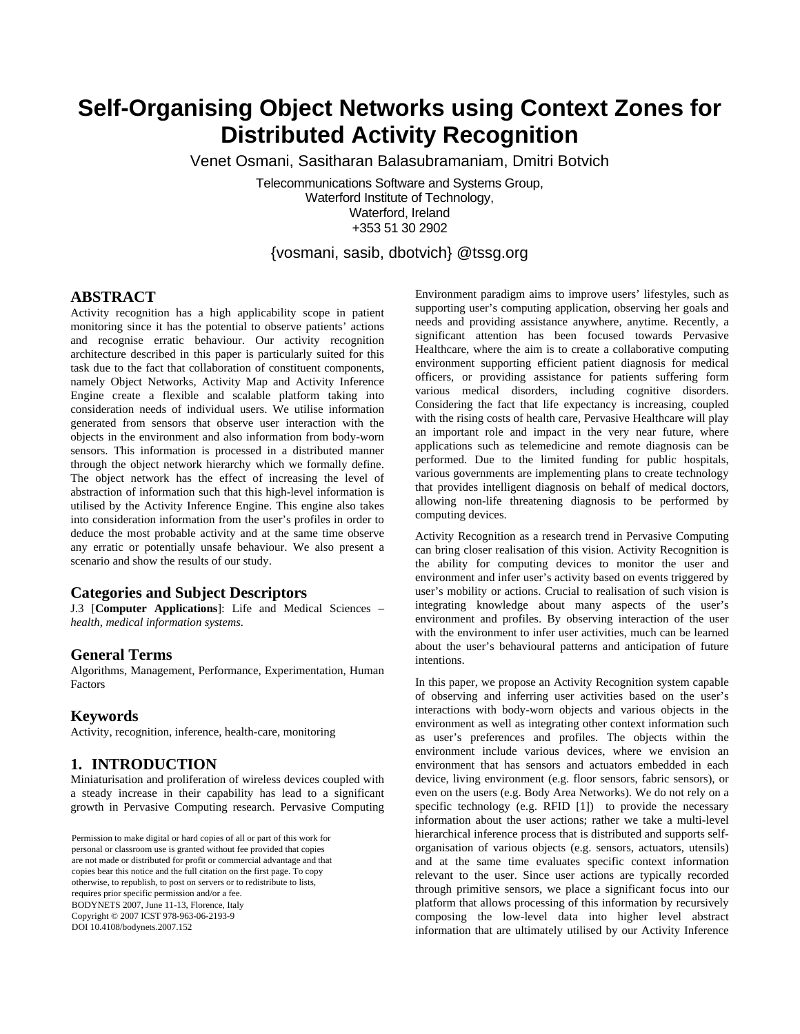# **Self-Organising Object Networks using Context Zones for Distributed Activity Recognition**

Venet Osmani, Sasitharan Balasubramaniam, Dmitri Botvich

Telecommunications Software and Systems Group, Waterford Institute of Technology, Waterford, Ireland +353 51 30 2902

{vosmani, sasib, dbotvich} @tssg.org

### **ABSTRACT**

Activity recognition has a high applicability scope in patient monitoring since it has the potential to observe patients' actions and recognise erratic behaviour. Our activity recognition architecture described in this paper is particularly suited for this task due to the fact that collaboration of constituent components, namely Object Networks, Activity Map and Activity Inference Engine create a flexible and scalable platform taking into consideration needs of individual users. We utilise information generated from sensors that observe user interaction with the objects in the environment and also information from body-worn sensors. This information is processed in a distributed manner through the object network hierarchy which we formally define. The object network has the effect of increasing the level of abstraction of information such that this high-level information is utilised by the Activity Inference Engine. This engine also takes into consideration information from the user's profiles in order to deduce the most probable activity and at the same time observe any erratic or potentially unsafe behaviour. We also present a scenario and show the results of our study.

### **Categories and Subject Descriptors**

J.3 [**Computer Applications**]: Life and Medical Sciences – *health, medical information systems.*

### **General Terms**

Algorithms, Management, Performance, Experimentation, Human Factors

### **Keywords**

Activity, recognition, inference, health-care, monitoring

### **1. INTRODUCTION**

Miniaturisation and proliferation of wireless devices coupled with a steady increase in their capability has lead to a significant growth in Pervasive Computing research. Pervasive Computing

personal or classroom use is granted without fee provided that copies re not made or distributed for profit or commercial advantage and that copies bear this notice and the full citation on the first page. To copy otherwise, to republish, to post on servers or to redistribute to lists, requires prior specific permission and/or a fee. BOD YNETS 2007, June 11-15, Florence, Italy<br>Copyright © 2007 ICST 978-963-06-2193-9 *BodyNets'07*, June 11–13, 2007, Florence, Italy. DOI 10.4108/bodynets.2007.152Permission to make digital or hard copies of all or part of this work for personal or classroom use is granted without fee provided that copies copies bear this notice and the full citation on the first page. To copy other are not made or distributed for profit or commercial advantage and that BODYNETS 2007, June 11-13, Florence, Italy

Environment paradigm aims to improve users' lifestyles, such as supporting user's computing application, observing her goals and needs and providing assistance anywhere, anytime. Recently, a significant attention has been focused towards Pervasive Healthcare, where the aim is to create a collaborative computing environment supporting efficient patient diagnosis for medical officers, or providing assistance for patients suffering form various medical disorders, including cognitive disorders. Considering the fact that life expectancy is increasing, coupled with the rising costs of health care, Pervasive Healthcare will play an important role and impact in the very near future, where applications such as telemedicine and remote diagnosis can be performed. Due to the limited funding for public hospitals, various governments are implementing plans to create technology that provides intelligent diagnosis on behalf of medical doctors, allowing non-life threatening diagnosis to be performed by computing devices.

Activity Recognition as a research trend in Pervasive Computing can bring closer realisation of this vision. Activity Recognition is the ability for computing devices to monitor the user and environment and infer user's activity based on events triggered by user's mobility or actions. Crucial to realisation of such vision is integrating knowledge about many aspects of the user's environment and profiles. By observing interaction of the user with the environment to infer user activities, much can be learned about the user's behavioural patterns and anticipation of future intentions.

In this paper, we propose an Activity Recognition system capable of observing and inferring user activities based on the user's interactions with body-worn objects and various objects in the environment as well as integrating other context information such as user's preferences and profiles. The objects within the environment include various devices, where we envision an environment that has sensors and actuators embedded in each device, living environment (e.g. floor sensors, fabric sensors), or even on the users (e.g. Body Area Networks). We do not rely on a specific technology (e.g. RFID [1]) to provide the necessary information about the user actions; rather we take a multi-level hierarchical inference process that is distributed and supports selforganisation of various objects (e.g. sensors, actuators, utensils) and at the same time evaluates specific context information relevant to the user. Since user actions are typically recorded through primitive sensors, we place a significant focus into our platform that allows processing of this information by recursively composing the low-level data into higher level abstract information that are ultimately utilised by our Activity Inference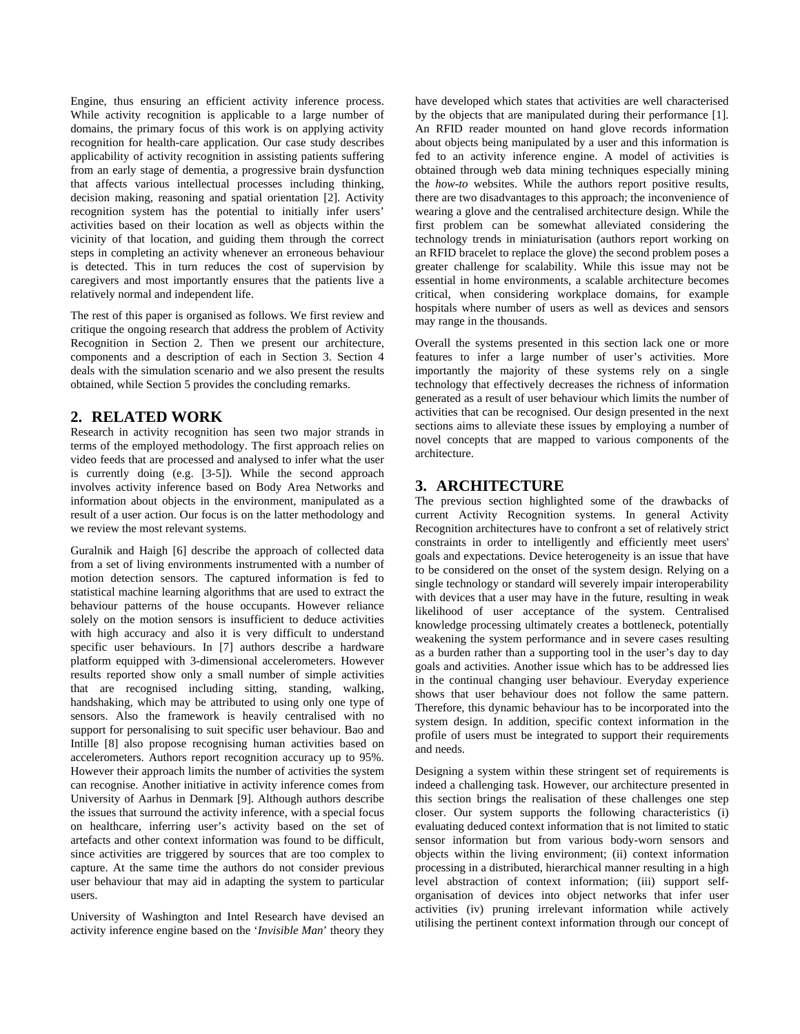Engine, thus ensuring an efficient activity inference process. While activity recognition is applicable to a large number of domains, the primary focus of this work is on applying activity recognition for health-care application. Our case study describes applicability of activity recognition in assisting patients suffering from an early stage of dementia, a progressive brain dysfunction that affects various intellectual processes including thinking, decision making, reasoning and spatial orientation [2]. Activity recognition system has the potential to initially infer users' activities based on their location as well as objects within the vicinity of that location, and guiding them through the correct steps in completing an activity whenever an erroneous behaviour is detected. This in turn reduces the cost of supervision by caregivers and most importantly ensures that the patients live a relatively normal and independent life.

The rest of this paper is organised as follows. We first review and critique the ongoing research that address the problem of Activity Recognition in Section 2. Then we present our architecture, components and a description of each in Section 3. Section 4 deals with the simulation scenario and we also present the results obtained, while Section 5 provides the concluding remarks.

# **2. RELATED WORK**

Research in activity recognition has seen two major strands in terms of the employed methodology. The first approach relies on video feeds that are processed and analysed to infer what the user is currently doing (e.g. [3-5]). While the second approach involves activity inference based on Body Area Networks and information about objects in the environment, manipulated as a result of a user action. Our focus is on the latter methodology and we review the most relevant systems.

Guralnik and Haigh [6] describe the approach of collected data from a set of living environments instrumented with a number of motion detection sensors. The captured information is fed to statistical machine learning algorithms that are used to extract the behaviour patterns of the house occupants. However reliance solely on the motion sensors is insufficient to deduce activities with high accuracy and also it is very difficult to understand specific user behaviours. In [7] authors describe a hardware platform equipped with 3-dimensional accelerometers. However results reported show only a small number of simple activities that are recognised including sitting, standing, walking, handshaking, which may be attributed to using only one type of sensors. Also the framework is heavily centralised with no support for personalising to suit specific user behaviour. Bao and Intille [8] also propose recognising human activities based on accelerometers. Authors report recognition accuracy up to 95%. However their approach limits the number of activities the system can recognise. Another initiative in activity inference comes from University of Aarhus in Denmark [9]. Although authors describe the issues that surround the activity inference, with a special focus on healthcare, inferring user's activity based on the set of artefacts and other context information was found to be difficult, since activities are triggered by sources that are too complex to capture. At the same time the authors do not consider previous user behaviour that may aid in adapting the system to particular users.

University of Washington and Intel Research have devised an activity inference engine based on the '*Invisible Man*' theory they

have developed which states that activities are well characterised by the objects that are manipulated during their performance [1]. An RFID reader mounted on hand glove records information about objects being manipulated by a user and this information is fed to an activity inference engine. A model of activities is obtained through web data mining techniques especially mining the *how-to* websites. While the authors report positive results, there are two disadvantages to this approach; the inconvenience of wearing a glove and the centralised architecture design. While the first problem can be somewhat alleviated considering the technology trends in miniaturisation (authors report working on an RFID bracelet to replace the glove) the second problem poses a greater challenge for scalability. While this issue may not be essential in home environments, a scalable architecture becomes critical, when considering workplace domains, for example hospitals where number of users as well as devices and sensors may range in the thousands.

Overall the systems presented in this section lack one or more features to infer a large number of user's activities. More importantly the majority of these systems rely on a single technology that effectively decreases the richness of information generated as a result of user behaviour which limits the number of activities that can be recognised. Our design presented in the next sections aims to alleviate these issues by employing a number of novel concepts that are mapped to various components of the architecture.

# **3. ARCHITECTURE**

The previous section highlighted some of the drawbacks of current Activity Recognition systems. In general Activity Recognition architectures have to confront a set of relatively strict constraints in order to intelligently and efficiently meet users' goals and expectations. Device heterogeneity is an issue that have to be considered on the onset of the system design. Relying on a single technology or standard will severely impair interoperability with devices that a user may have in the future, resulting in weak likelihood of user acceptance of the system. Centralised knowledge processing ultimately creates a bottleneck, potentially weakening the system performance and in severe cases resulting as a burden rather than a supporting tool in the user's day to day goals and activities. Another issue which has to be addressed lies in the continual changing user behaviour. Everyday experience shows that user behaviour does not follow the same pattern. Therefore, this dynamic behaviour has to be incorporated into the system design. In addition, specific context information in the profile of users must be integrated to support their requirements and needs.

Designing a system within these stringent set of requirements is indeed a challenging task. However, our architecture presented in this section brings the realisation of these challenges one step closer. Our system supports the following characteristics (i) evaluating deduced context information that is not limited to static sensor information but from various body-worn sensors and objects within the living environment; (ii) context information processing in a distributed, hierarchical manner resulting in a high level abstraction of context information; (iii) support selforganisation of devices into object networks that infer user activities (iv) pruning irrelevant information while actively utilising the pertinent context information through our concept of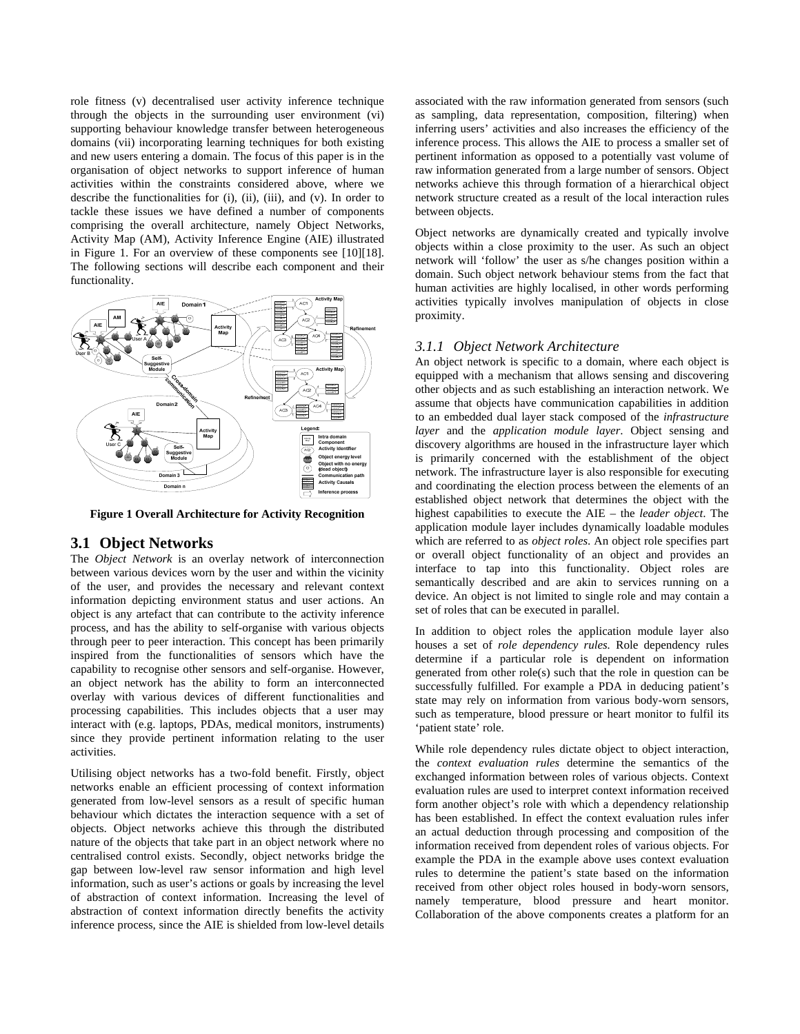<span id="page-2-0"></span>role fitness (v) decentralised user activity inference technique through the objects in the surrounding user environment (vi) supporting behaviour knowledge transfer between heterogeneous domains (vii) incorporating learning techniques for both existing and new users entering a domain. The focus of this paper is in the organisation of object networks to support inference of human activities within the constraints considered above, where we describe the functionalities for (i), (ii), (iii), and (v). In order to tackle these issues we have defined a number of components comprising the overall architecture, namely Object Networks, Activity Map (AM), Activity Inference Engine (AIE) illustrated in [Figure 1](#page-2-0). For an overview of these components see [10][18]. The following sections will describe each component and their functionality.



**Figure 1 Overall Architecture for Activity Recognition** 

### **3.1 Object Networks**

The *Object Network* is an overlay network of interconnection between various devices worn by the user and within the vicinity of the user, and provides the necessary and relevant context information depicting environment status and user actions. An object is any artefact that can contribute to the activity inference process, and has the ability to self-organise with various objects through peer to peer interaction. This concept has been primarily inspired from the functionalities of sensors which have the capability to recognise other sensors and self-organise. However, an object network has the ability to form an interconnected overlay with various devices of different functionalities and processing capabilities. This includes objects that a user may interact with (e.g. laptops, PDAs, medical monitors, instruments) since they provide pertinent information relating to the user activities.

Utilising object networks has a two-fold benefit. Firstly, object networks enable an efficient processing of context information generated from low-level sensors as a result of specific human behaviour which dictates the interaction sequence with a set of objects. Object networks achieve this through the distributed nature of the objects that take part in an object network where no centralised control exists. Secondly, object networks bridge the gap between low-level raw sensor information and high level information, such as user's actions or goals by increasing the level of abstraction of context information. Increasing the level of abstraction of context information directly benefits the activity inference process, since the AIE is shielded from low-level details

associated with the raw information generated from sensors (such as sampling, data representation, composition, filtering) when inferring users' activities and also increases the efficiency of the inference process. This allows the AIE to process a smaller set of pertinent information as opposed to a potentially vast volume of raw information generated from a large number of sensors. Object networks achieve this through formation of a hierarchical object network structure created as a result of the local interaction rules between objects.

Object networks are dynamically created and typically involve objects within a close proximity to the user. As such an object network will 'follow' the user as s/he changes position within a domain. Such object network behaviour stems from the fact that human activities are highly localised, in other words performing activities typically involves manipulation of objects in close proximity.

#### *3.1.1 Object Network Architecture*

An object network is specific to a domain, where each object is equipped with a mechanism that allows sensing and discovering other objects and as such establishing an interaction network. We assume that objects have communication capabilities in addition to an embedded dual layer stack composed of the *infrastructure layer* and the *application module layer*. Object sensing and discovery algorithms are housed in the infrastructure layer which is primarily concerned with the establishment of the object network. The infrastructure layer is also responsible for executing and coordinating the election process between the elements of an established object network that determines the object with the highest capabilities to execute the AIE – the *leader object*. The application module layer includes dynamically loadable modules which are referred to as *object roles*. An object role specifies part or overall object functionality of an object and provides an interface to tap into this functionality. Object roles are semantically described and are akin to services running on a device. An object is not limited to single role and may contain a set of roles that can be executed in parallel.

In addition to object roles the application module layer also houses a set of *role dependency rules.* Role dependency rules determine if a particular role is dependent on information generated from other role(s) such that the role in question can be successfully fulfilled. For example a PDA in deducing patient's state may rely on information from various body-worn sensors, such as temperature, blood pressure or heart monitor to fulfil its 'patient state' role.

While role dependency rules dictate object to object interaction, the *context evaluation rules* determine the semantics of the exchanged information between roles of various objects. Context evaluation rules are used to interpret context information received form another object's role with which a dependency relationship has been established. In effect the context evaluation rules infer an actual deduction through processing and composition of the information received from dependent roles of various objects. For example the PDA in the example above uses context evaluation rules to determine the patient's state based on the information received from other object roles housed in body-worn sensors, namely temperature, blood pressure and heart monitor. Collaboration of the above components creates a platform for an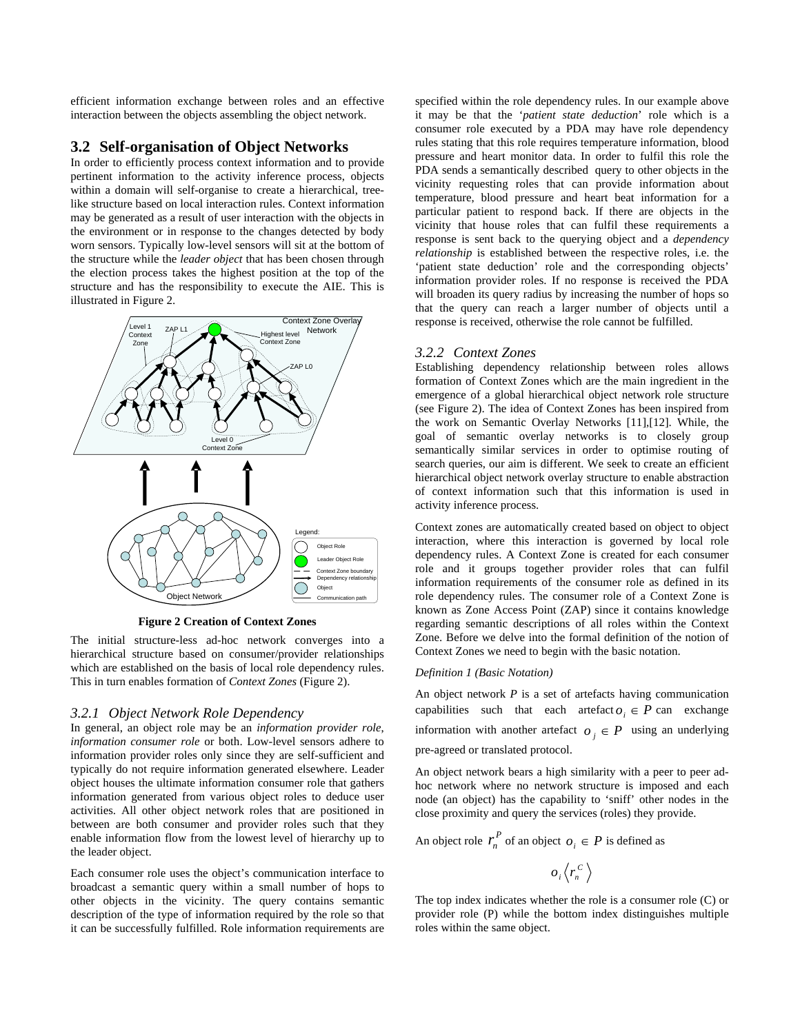<span id="page-3-0"></span>efficient information exchange between roles and an effective interaction between the objects assembling the object network.

### **3.2 Self-organisation of Object Networks**

In order to efficiently process context information and to provide pertinent information to the activity inference process, objects within a domain will self-organise to create a hierarchical, treelike structure based on local interaction rules. Context information may be generated as a result of user interaction with the objects in the environment or in response to the changes detected by body worn sensors. Typically low-level sensors will sit at the bottom of the structure while the *leader object* that has been chosen through the election process takes the highest position at the top of the structure and has the responsibility to execute the AIE. This is illustrated in [Figure 2](#page-3-0).



**Figure 2 Creation of Context Zones** 

The initial structure-less ad-hoc network converges into a hierarchical structure based on consumer/provider relationships which are established on the basis of local role dependency rules. This in turn enables formation of *Context Zones* [\(Figure 2\)](#page-3-0).

#### *3.2.1 Object Network Role Dependency*

In general, an object role may be an *information provider role*, *information consumer role* or both. Low-level sensors adhere to information provider roles only since they are self-sufficient and typically do not require information generated elsewhere. Leader object houses the ultimate information consumer role that gathers information generated from various object roles to deduce user activities. All other object network roles that are positioned in between are both consumer and provider roles such that they enable information flow from the lowest level of hierarchy up to the leader object.

Each consumer role uses the object's communication interface to broadcast a semantic query within a small number of hops to other objects in the vicinity. The query contains semantic description of the type of information required by the role so that it can be successfully fulfilled. Role information requirements are

specified within the role dependency rules. In our example above it may be that the '*patient state deduction*' role which is a consumer role executed by a PDA may have role dependency rules stating that this role requires temperature information, blood pressure and heart monitor data. In order to fulfil this role the PDA sends a semantically described query to other objects in the vicinity requesting roles that can provide information about temperature, blood pressure and heart beat information for a particular patient to respond back. If there are objects in the vicinity that house roles that can fulfil these requirements a response is sent back to the querying object and a *dependency relationship* is established between the respective roles, i.e. the 'patient state deduction' role and the corresponding objects' information provider roles. If no response is received the PDA will broaden its query radius by increasing the number of hops so that the query can reach a larger number of objects until a response is received, otherwise the role cannot be fulfilled.

### *3.2.2 Context Zones*

Establishing dependency relationship between roles allows formation of Context Zones which are the main ingredient in the emergence of a global hierarchical object network role structure (see [Figure 2\)](#page-3-0). The idea of Context Zones has been inspired from the work on Semantic Overlay Networks [11],[12]. While, the goal of semantic overlay networks is to closely group semantically similar services in order to optimise routing of search queries, our aim is different. We seek to create an efficient hierarchical object network overlay structure to enable abstraction of context information such that this information is used in activity inference process.

Context zones are automatically created based on object to object interaction, where this interaction is governed by local role dependency rules. A Context Zone is created for each consumer role and it groups together provider roles that can fulfil information requirements of the consumer role as defined in its role dependency rules. The consumer role of a Context Zone is known as Zone Access Point (ZAP) since it contains knowledge regarding semantic descriptions of all roles within the Context Zone. Before we delve into the formal definition of the notion of Context Zones we need to begin with the basic notation.

#### *Definition 1 (Basic Notation)*

An object network *P* is a set of artefacts having communication capabilities such that each artefact  $o_i \in P$  can exchange information with another artefact  $o_j \in P$  using an underlying pre-agreed or translated protocol.

An object network bears a high similarity with a peer to peer adhoc network where no network structure is imposed and each node (an object) has the capability to 'sniff' other nodes in the close proximity and query the services (roles) they provide.

An object role  $r_n^P$  of an object  $o_i \in P$  is defined as

$$
o_i \langle r_n^c \rangle
$$

The top index indicates whether the role is a consumer role (C) or provider role (P) while the bottom index distinguishes multiple roles within the same object.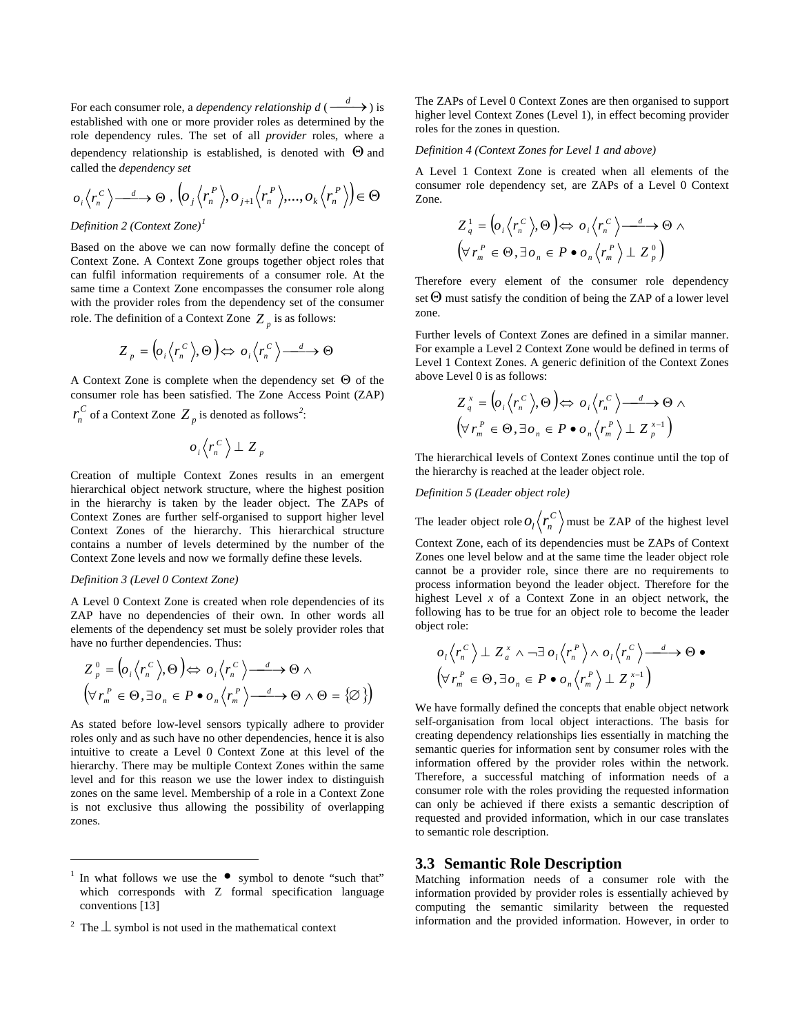For each consumer role, a *dependency relationship d* ( $\frac{d}{dx}$ ) is established with one or more provider roles as determined by the role dependency rules. The set of all *provider* roles, where a dependency relationship is established, is denoted with  $\Theta$  and called the *dependency set*

$$
o_i \langle r_n^C \rangle \longrightarrow \Theta, \left\langle o_j \langle r_n^P \rangle, o_{j+1} \langle r_n^P \rangle, \ldots, o_k \langle r_n^P \rangle \right) \in \Theta
$$

*Definition 2 (Context Zone)[1](#page-4-0)*

Based on the above we can now formally define the concept of Context Zone. A Context Zone groups together object roles that can fulfil information requirements of a consumer role. At the same time a Context Zone encompasses the consumer role along with the provider roles from the dependency set of the consumer role. The definition of a Context Zone  $Z_p$  is as follows:

$$
Z_p = \left( o_i \left\langle r_n^C \right\rangle \right) \oplus o_i \left\langle r_n^C \right\rangle \stackrel{d}{\longrightarrow} \Theta
$$

A Context Zone is complete when the dependency set Θ of the consumer role has been satisfied. The Zone Access Point (ZAP)

 $r_n^C$  of a Context Zone  $Z_p$  is denoted as follows<sup>[2](#page-4-1)</sup>:

$$
o_i\langle r_n^C\rangle \perp Z_p
$$

Creation of multiple Context Zones results in an emergent hierarchical object network structure, where the highest position in the hierarchy is taken by the leader object. The ZAPs of Context Zones are further self-organised to support higher level Context Zones of the hierarchy. This hierarchical structure contains a number of levels determined by the number of the Context Zone levels and now we formally define these levels.

#### *Definition 3 (Level 0 Context Zone)*

 $\overline{a}$ 

A Level 0 Context Zone is created when role dependencies of its ZAP have no dependencies of their own. In other words all elements of the dependency set must be solely provider roles that have no further dependencies. Thus:

$$
Z_p^0 = \left( o_i \left\langle r_n^C \right\rangle \Theta \right) \Leftrightarrow o_i \left\langle r_n^C \right\rangle \longrightarrow \Theta \land
$$
  

$$
\left( \forall r_m^P \in \Theta, \exists o_n \in P \bullet o_n \left\langle r_m^P \right\rangle \longrightarrow \Theta \land \Theta = \{\varnothing\} \right)
$$

As stated before low-level sensors typically adhere to provider roles only and as such have no other dependencies, hence it is also intuitive to create a Level 0 Context Zone at this level of the hierarchy. There may be multiple Context Zones within the same level and for this reason we use the lower index to distinguish zones on the same level. Membership of a role in a Context Zone is not exclusive thus allowing the possibility of overlapping zones.

The ZAPs of Level 0 Context Zones are then organised to support higher level Context Zones (Level 1), in effect becoming provider roles for the zones in question.

#### *Definition 4 (Context Zones for Level 1 and above)*

A Level 1 Context Zone is created when all elements of the consumer role dependency set, are ZAPs of a Level 0 Context Zone.

$$
Z_q^1 = \left( o_i \left\langle r_n^C \right\rangle, \Theta \right) \Leftrightarrow o_i \left\langle r_n^C \right\rangle \longrightarrow \Theta \land \left( \forall r_m^P \in \Theta, \exists o_n \in P \bullet o_n \left\langle r_m^P \right\rangle \perp Z_p^0 \right)
$$

Therefore every element of the consumer role dependency set  $\Theta$  must satisfy the condition of being the ZAP of a lower level zone.

Further levels of Context Zones are defined in a similar manner. For example a Level 2 Context Zone would be defined in terms of Level 1 Context Zones. A generic definition of the Context Zones above Level 0 is as follows:

$$
Z_q^x = \left( o_i \left\langle r_n^C \right\rangle \Theta \right) \Longleftrightarrow o_i \left\langle r_n^C \right\rangle \longrightarrow \Theta \land \left( \forall r_m^P \in \Theta, \exists o_n \in P \bullet o_n \left\langle r_m^P \right\rangle \perp Z_p^{x-1} \right)
$$

The hierarchical levels of Context Zones continue until the top of the hierarchy is reached at the leader object role.

### *Definition 5 (Leader object role)*

The leader object role  $O_l \langle r_n^C \rangle$  must be ZAP of the highest level Context Zone, each of its dependencies must be ZAPs of Context Zones one level below and at the same time the leader object role cannot be a provider role, since there are no requirements to process information beyond the leader object. Therefore for the

highest Level *x* of a Context Zone in an object network, the following has to be true for an object role to become the leader object role:

$$
o_1\langle r_n^C\rangle \perp Z_a^x \wedge \neg \exists o_1\langle r_n^P\rangle \wedge o_1\langle r_n^C\rangle \longrightarrow \Theta \bullet
$$
  

$$
(\forall r_m^P \in \Theta, \exists o_n \in P \bullet o_n\langle r_m^P\rangle \perp Z_p^{x-1})
$$

We have formally defined the concepts that enable object network self-organisation from local object interactions. The basis for creating dependency relationships lies essentially in matching the semantic queries for information sent by consumer roles with the information offered by the provider roles within the network. Therefore, a successful matching of information needs of a consumer role with the roles providing the requested information can only be achieved if there exists a semantic description of requested and provided information, which in our case translates to semantic role description.

#### **3.3 Semantic Role Description**

Matching information needs of a consumer role with the information provided by provider roles is essentially achieved by computing the semantic similarity between the requested information and the provided information. However, in order to

<span id="page-4-0"></span><sup>1</sup> In what follows we use the  $\bullet$  symbol to denote "such that" which corresponds with Z formal specification language conventions [13]

<span id="page-4-1"></span><sup>&</sup>lt;sup>2</sup> The  $\perp$  symbol is not used in the mathematical context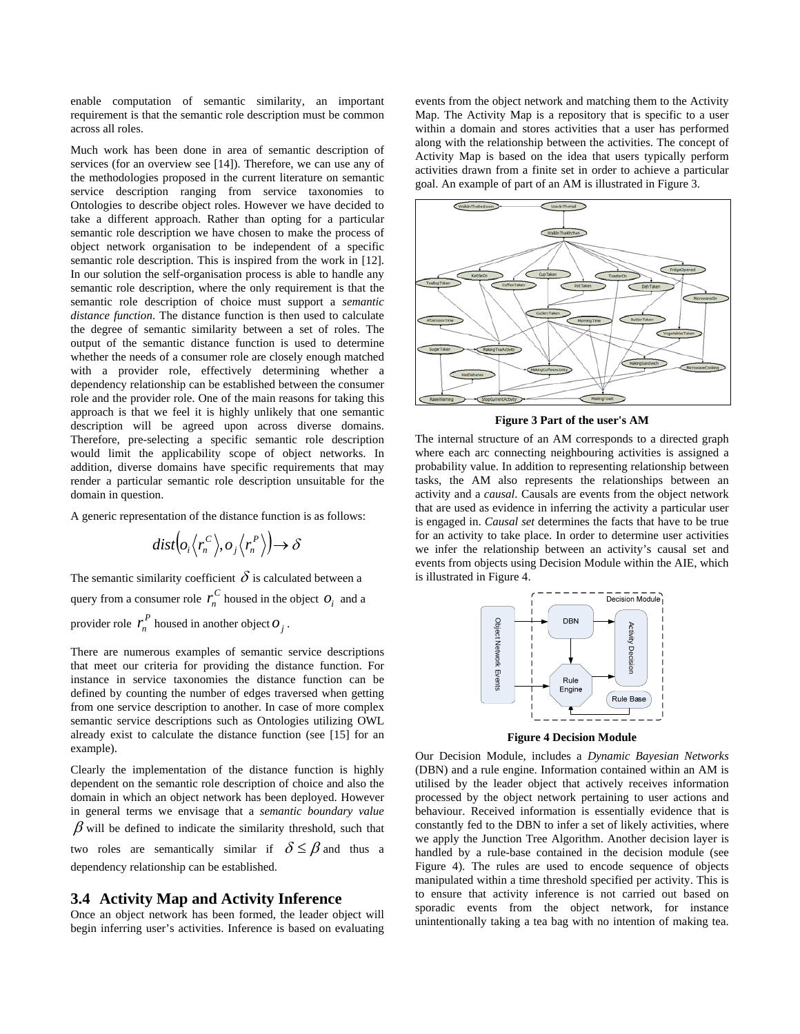<span id="page-5-0"></span>enable computation of semantic similarity, an important requirement is that the semantic role description must be common across all roles.

Much work has been done in area of semantic description of services (for an overview see [14]). Therefore, we can use any of the methodologies proposed in the current literature on semantic service description ranging from service taxonomies to Ontologies to describe object roles. However we have decided to take a different approach. Rather than opting for a particular semantic role description we have chosen to make the process of object network organisation to be independent of a specific semantic role description. This is inspired from the work in [12]. In our solution the self-organisation process is able to handle any semantic role description, where the only requirement is that the semantic role description of choice must support a *semantic distance function*. The distance function is then used to calculate the degree of semantic similarity between a set of roles. The output of the semantic distance function is used to determine whether the needs of a consumer role are closely enough matched with a provider role, effectively determining whether a dependency relationship can be established between the consumer role and the provider role. One of the main reasons for taking this approach is that we feel it is highly unlikely that one semantic description will be agreed upon across diverse domains. Therefore, pre-selecting a specific semantic role description would limit the applicability scope of object networks. In addition, diverse domains have specific requirements that may render a particular semantic role description unsuitable for the domain in question.

A generic representation of the distance function is as follows:

$$
dist\Big(\!\!o_{_i}\big\langle r_n^{\,C}\big\rangle\!,o_{_j}\big\langle r_n^{\,P}\big\rangle\!\Big)\!\!\rightarrow\delta
$$

The semantic similarity coefficient  $\delta$  is calculated between a query from a consumer role  $r_n^C$  housed in the object  $O_i$  and a provider role  $r_n^P$  housed in another object  $O_j$ .

There are numerous examples of semantic service descriptions that meet our criteria for providing the distance function. For instance in service taxonomies the distance function can be defined by counting the number of edges traversed when getting from one service description to another. In case of more complex semantic service descriptions such as Ontologies utilizing OWL already exist to calculate the distance function (see [15] for an example).

Clearly the implementation of the distance function is highly dependent on the semantic role description of choice and also the domain in which an object network has been deployed. However in general terms we envisage that a *semantic boundary value*  $\beta$  will be defined to indicate the similarity threshold, such that two roles are semantically similar if  $\delta \leq \beta$  and thus a dependency relationship can be established.

### **3.4 Activity Map and Activity Inference**

Once an object network has been formed, the leader object will begin inferring user's activities. Inference is based on evaluating events from the object network and matching them to the Activity Map. The Activity Map is a repository that is specific to a user within a domain and stores activities that a user has performed along with the relationship between the activities. The concept of Activity Map is based on the idea that users typically perform activities drawn from a finite set in order to achieve a particular goal. An example of part of an AM is illustrated in [Figure 3.](#page-5-0)



**Figure 3 Part of the user's AM** 

The internal structure of an AM corresponds to a directed graph where each arc connecting neighbouring activities is assigned a probability value. In addition to representing relationship between tasks, the AM also represents the relationships between an activity and a *causal*. Causals are events from the object network that are used as evidence in inferring the activity a particular user is engaged in. *Causal set* determines the facts that have to be true for an activity to take place. In order to determine user activities we infer the relationship between an activity's causal set and events from objects using Decision Module within the AIE, which is illustrated in [Figure 4](#page-5-0).



**Figure 4 Decision Module** 

Our Decision Module, includes a *Dynamic Bayesian Networks* (DBN) and a rule engine. Information contained within an AM is utilised by the leader object that actively receives information processed by the object network pertaining to user actions and behaviour. Received information is essentially evidence that is constantly fed to the DBN to infer a set of likely activities, where we apply the Junction Tree Algorithm. Another decision layer is handled by a rule-base contained in the decision module (see [Figure 4\)](#page-5-0). The rules are used to encode sequence of objects manipulated within a time threshold specified per activity. This is to ensure that activity inference is not carried out based on sporadic events from the object network, for instance unintentionally taking a tea bag with no intention of making tea.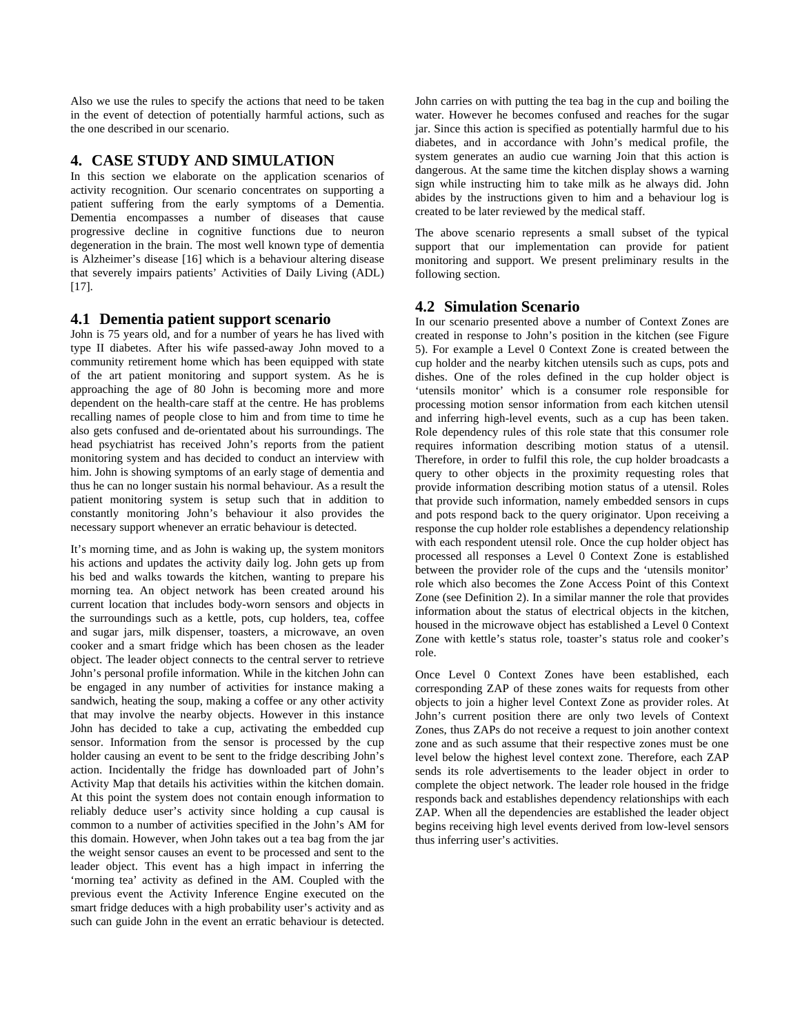Also we use the rules to specify the actions that need to be taken in the event of detection of potentially harmful actions, such as the one described in our scenario.

### **4. CASE STUDY AND SIMULATION**

In this section we elaborate on the application scenarios of activity recognition. Our scenario concentrates on supporting a patient suffering from the early symptoms of a Dementia. Dementia encompasses a number of diseases that cause progressive decline in cognitive functions due to neuron degeneration in the brain. The most well known type of dementia is Alzheimer's disease [16] which is a behaviour altering disease that severely impairs patients' Activities of Daily Living (ADL) [17].

### **4.1 Dementia patient support scenario**

John is 75 years old, and for a number of years he has lived with type II diabetes. After his wife passed-away John moved to a community retirement home which has been equipped with state of the art patient monitoring and support system. As he is approaching the age of 80 John is becoming more and more dependent on the health-care staff at the centre. He has problems recalling names of people close to him and from time to time he also gets confused and de-orientated about his surroundings. The head psychiatrist has received John's reports from the patient monitoring system and has decided to conduct an interview with him. John is showing symptoms of an early stage of dementia and thus he can no longer sustain his normal behaviour. As a result the patient monitoring system is setup such that in addition to constantly monitoring John's behaviour it also provides the necessary support whenever an erratic behaviour is detected.

It's morning time, and as John is waking up, the system monitors his actions and updates the activity daily log. John gets up from his bed and walks towards the kitchen, wanting to prepare his morning tea. An object network has been created around his current location that includes body-worn sensors and objects in the surroundings such as a kettle, pots, cup holders, tea, coffee and sugar jars, milk dispenser, toasters, a microwave, an oven cooker and a smart fridge which has been chosen as the leader object. The leader object connects to the central server to retrieve John's personal profile information. While in the kitchen John can be engaged in any number of activities for instance making a sandwich, heating the soup, making a coffee or any other activity that may involve the nearby objects. However in this instance John has decided to take a cup, activating the embedded cup sensor. Information from the sensor is processed by the cup holder causing an event to be sent to the fridge describing John's action. Incidentally the fridge has downloaded part of John's Activity Map that details his activities within the kitchen domain. At this point the system does not contain enough information to reliably deduce user's activity since holding a cup causal is common to a number of activities specified in the John's AM for this domain. However, when John takes out a tea bag from the jar the weight sensor causes an event to be processed and sent to the leader object. This event has a high impact in inferring the 'morning tea' activity as defined in the AM. Coupled with the previous event the Activity Inference Engine executed on the smart fridge deduces with a high probability user's activity and as such can guide John in the event an erratic behaviour is detected.

John carries on with putting the tea bag in the cup and boiling the water. However he becomes confused and reaches for the sugar jar. Since this action is specified as potentially harmful due to his diabetes, and in accordance with John's medical profile, the system generates an audio cue warning Join that this action is dangerous. At the same time the kitchen display shows a warning sign while instructing him to take milk as he always did. John abides by the instructions given to him and a behaviour log is created to be later reviewed by the medical staff.

The above scenario represents a small subset of the typical support that our implementation can provide for patient monitoring and support. We present preliminary results in the following section.

### **4.2 Simulation Scenario**

In our scenario presented above a number of Context Zones are created in response to John's position in the kitchen (see [Figure](#page-7-0)  [5](#page-7-0)). For example a Level 0 Context Zone is created between the cup holder and the nearby kitchen utensils such as cups, pots and dishes. One of the roles defined in the cup holder object is 'utensils monitor' which is a consumer role responsible for processing motion sensor information from each kitchen utensil and inferring high-level events, such as a cup has been taken. Role dependency rules of this role state that this consumer role requires information describing motion status of a utensil. Therefore, in order to fulfil this role, the cup holder broadcasts a query to other objects in the proximity requesting roles that provide information describing motion status of a utensil. Roles that provide such information, namely embedded sensors in cups and pots respond back to the query originator. Upon receiving a response the cup holder role establishes a dependency relationship with each respondent utensil role. Once the cup holder object has processed all responses a Level 0 Context Zone is established between the provider role of the cups and the 'utensils monitor' role which also becomes the Zone Access Point of this Context Zone (see Definition 2). In a similar manner the role that provides information about the status of electrical objects in the kitchen, housed in the microwave object has established a Level 0 Context Zone with kettle's status role, toaster's status role and cooker's role.

Once Level 0 Context Zones have been established, each corresponding ZAP of these zones waits for requests from other objects to join a higher level Context Zone as provider roles. At John's current position there are only two levels of Context Zones, thus ZAPs do not receive a request to join another context zone and as such assume that their respective zones must be one level below the highest level context zone. Therefore, each ZAP sends its role advertisements to the leader object in order to complete the object network. The leader role housed in the fridge responds back and establishes dependency relationships with each ZAP. When all the dependencies are established the leader object begins receiving high level events derived from low-level sensors thus inferring user's activities.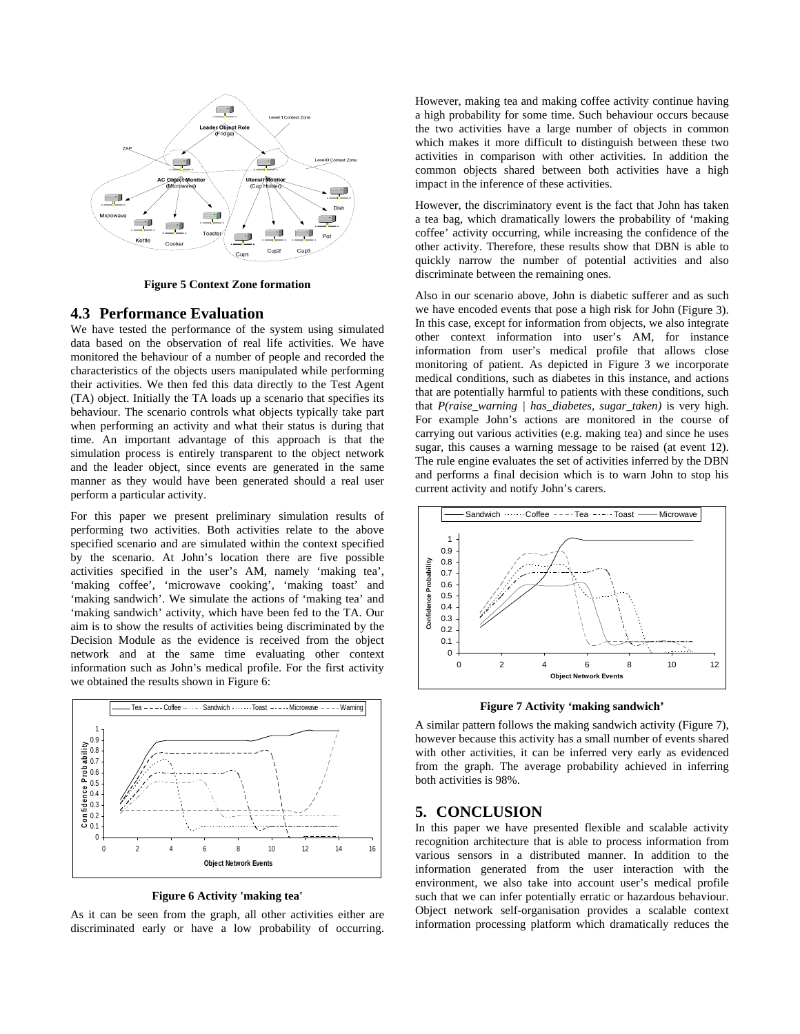<span id="page-7-0"></span>

**Figure 5 Context Zone formation** 

### **4.3 Performance Evaluation**

We have tested the performance of the system using simulated data based on the observation of real life activities. We have monitored the behaviour of a number of people and recorded the characteristics of the objects users manipulated while performing their activities. We then fed this data directly to the Test Agent (TA) object. Initially the TA loads up a scenario that specifies its behaviour. The scenario controls what objects typically take part when performing an activity and what their status is during that time. An important advantage of this approach is that the simulation process is entirely transparent to the object network and the leader object, since events are generated in the same manner as they would have been generated should a real user perform a particular activity.

For this paper we present preliminary simulation results of performing two activities. Both activities relate to the above specified scenario and are simulated within the context specified by the scenario. At John's location there are five possible activities specified in the user's AM, namely 'making tea', 'making coffee', 'microwave cooking', 'making toast' and 'making sandwich'. We simulate the actions of 'making tea' and 'making sandwich' activity, which have been fed to the TA. Our aim is to show the results of activities being discriminated by the Decision Module as the evidence is received from the object network and at the same time evaluating other context information such as John's medical profile. For the first activity we obtained the results shown in [Figure 6:](#page-7-0)



**Figure 6 Activity 'making tea'** 

As it can be seen from the graph, all other activities either are discriminated early or have a low probability of occurring. However, making tea and making coffee activity continue having a high probability for some time. Such behaviour occurs because the two activities have a large number of objects in common which makes it more difficult to distinguish between these two activities in comparison with other activities. In addition the common objects shared between both activities have a high impact in the inference of these activities.

However, the discriminatory event is the fact that John has taken a tea bag, which dramatically lowers the probability of 'making coffee' activity occurring, while increasing the confidence of the other activity. Therefore, these results show that DBN is able to quickly narrow the number of potential activities and also discriminate between the remaining ones.

Also in our scenario above, John is diabetic sufferer and as such we have encoded events that pose a high risk for John [\(Figure 3\)](#page-5-0). In this case, except for information from objects, we also integrate other context information into user's AM, for instance information from user's medical profile that allows close monitoring of patient. As depicted in [Figure 3](#page-5-0) we incorporate medical conditions, such as diabetes in this instance, and actions that are potentially harmful to patients with these conditions, such that *P(raise\_warning | has\_diabetes, sugar\_taken)* is very high. For example John's actions are monitored in the course of carrying out various activities (e.g. making tea) and since he uses sugar, this causes a warning message to be raised (at event 12). The rule engine evaluates the set of activities inferred by the DBN and performs a final decision which is to warn John to stop his current activity and notify John's carers.





A similar pattern follows the making sandwich activity [\(Figure 7\)](#page-7-0), however because this activity has a small number of events shared with other activities, it can be inferred very early as evidenced from the graph. The average probability achieved in inferring both activities is 98%.

### **5. CONCLUSION**

In this paper we have presented flexible and scalable activity recognition architecture that is able to process information from various sensors in a distributed manner. In addition to the information generated from the user interaction with the environment, we also take into account user's medical profile such that we can infer potentially erratic or hazardous behaviour. Object network self-organisation provides a scalable context information processing platform which dramatically reduces the